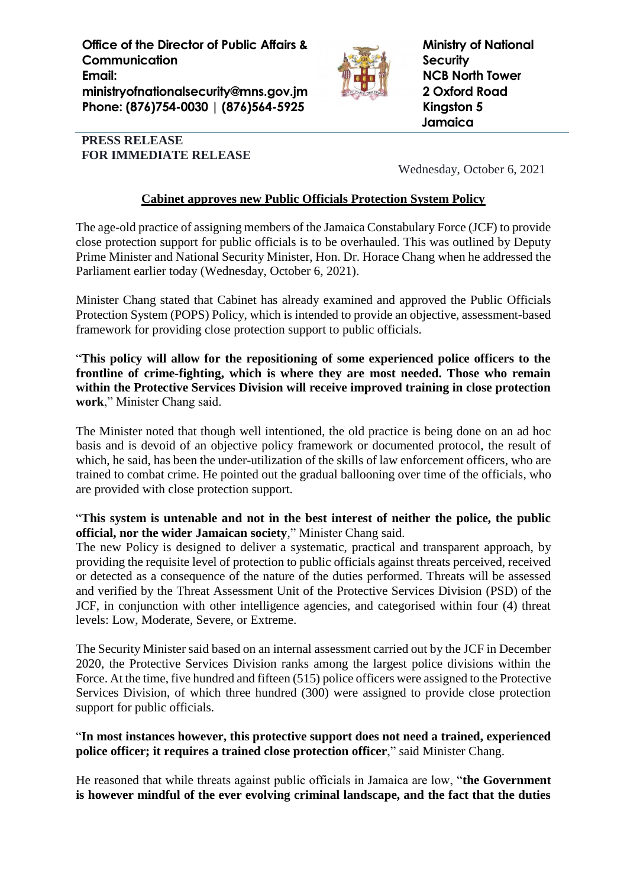**Office of the Director of Public Affairs & Communication Email: ministryofnationalsecurity@mns.gov.jm Phone: (876)754-0030 | (876)564-5925**



**Ministry of National Security NCB North Tower 2 Oxford Road Kingston 5 Jamaica**

## **PRESS RELEASE FOR IMMEDIATE RELEASE**

Wednesday, October 6, 2021

## **Cabinet approves new Public Officials Protection System Policy**

The age-old practice of assigning members of the Jamaica Constabulary Force (JCF) to provide close protection support for public officials is to be overhauled. This was outlined by Deputy Prime Minister and National Security Minister, Hon. Dr. Horace Chang when he addressed the Parliament earlier today (Wednesday, October 6, 2021).

Minister Chang stated that Cabinet has already examined and approved the Public Officials Protection System (POPS) Policy, which is intended to provide an objective, assessment-based framework for providing close protection support to public officials.

"**This policy will allow for the repositioning of some experienced police officers to the frontline of crime-fighting, which is where they are most needed. Those who remain within the Protective Services Division will receive improved training in close protection work**," Minister Chang said.

The Minister noted that though well intentioned, the old practice is being done on an ad hoc basis and is devoid of an objective policy framework or documented protocol, the result of which, he said, has been the under-utilization of the skills of law enforcement officers, who are trained to combat crime. He pointed out the gradual ballooning over time of the officials, who are provided with close protection support.

## "**This system is untenable and not in the best interest of neither the police, the public official, nor the wider Jamaican society**," Minister Chang said.

The new Policy is designed to deliver a systematic, practical and transparent approach, by providing the requisite level of protection to public officials against threats perceived, received or detected as a consequence of the nature of the duties performed. Threats will be assessed and verified by the Threat Assessment Unit of the Protective Services Division (PSD) of the JCF, in conjunction with other intelligence agencies, and categorised within four (4) threat levels: Low, Moderate, Severe, or Extreme.

The Security Minister said based on an internal assessment carried out by the JCF in December 2020, the Protective Services Division ranks among the largest police divisions within the Force. At the time, five hundred and fifteen (515) police officers were assigned to the Protective Services Division, of which three hundred (300) were assigned to provide close protection support for public officials.

## "**In most instances however, this protective support does not need a trained, experienced police officer; it requires a trained close protection officer**," said Minister Chang.

He reasoned that while threats against public officials in Jamaica are low, "**the Government is however mindful of the ever evolving criminal landscape, and the fact that the duties**